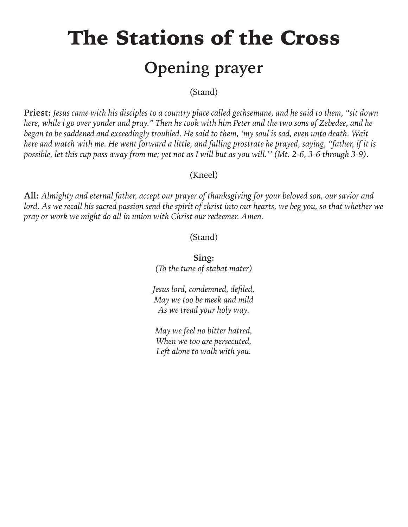# The Stations of the Cross **Opening prayer**

(Stand)

**Priest:** *Jesus came with his disciples to a country place called gethsemane, and he said to them, "sit down here, while i go over yonder and pray." Then he took with him Peter and the two sons of Zebedee, and he began to be saddened and exceedingly troubled. He said to them, 'my soul is sad, even unto death. Wait here and watch with me. He went forward a little, and falling prostrate he prayed, saying, "father, if it is possible, let this cup pass away from me; yet not as I will but as you will.'' (Mt. 2-6, 3-6 through 3-9).*

#### (Kneel)

**All:** *Almighty and eternal father, accept our prayer of thanksgiving for your beloved son, our savior and lord. As we recall his sacred passion send the spirit of christ into our hearts, we beg you, so that whether we pray or work we might do all in union with Christ our redeemer. Amen.*

(Stand)

**Sing:** *(To the tune of stabat mater)*

*Jesus lord, condemned, defiled, May we too be meek and mild As we tread your holy way.* 

*May we feel no bitter hatred, When we too are persecuted, Left alone to walk with you.*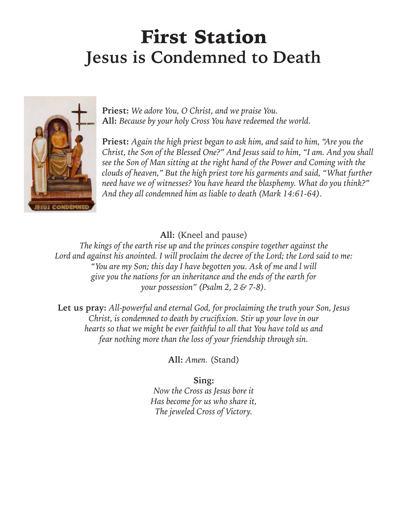### First Station **Jesus is Condemned to Death**



**Priest:** *We adore You, O Christ, and we praise You.* **All:** *Because by your holy Cross You have redeemed the world.*

**Priest:** *Again the high priest began to ask him, and said to him, "Are you the Christ, the Son of the Blessed One?" And Jesus said to him, "I am. And you shall see the Son of Man sitting at the right hand of the Power and Coming with the clouds of heaven," But the high priest tore his garments and said, "What further need have we of witnesses? You have heard the blasphemy. What do you think?" And they all condemned him as liable to death (Mark 14:61-64).*

#### **All:** (Kneel and pause)

*The kings of the earth rise up and the princes conspire together against the Lord and against his anointed. I will proclaim the decree of the Lord; the Lord said to me: "You are my Son; this day I have begotten you. Ask of me and l will give you the nations for an inheritance and the ends of the earth for your possession" (Psalm 2, 2 & 7-8).*

**Let us pray:** *All-powerful and eternal God, for proclaiming the truth your Son, Jesus Christ, is condemned to death by crucifixion. Stir up your love in our hearts so that we might be ever faithful to all that You have told us and fear nothing more than the loss of your friendship through sin.*

**All:** *Amen.* (Stand)

**Sing:**

*Now the Cross as Jesus bore it Has become for us who share it, The jeweled Cross of Victory.*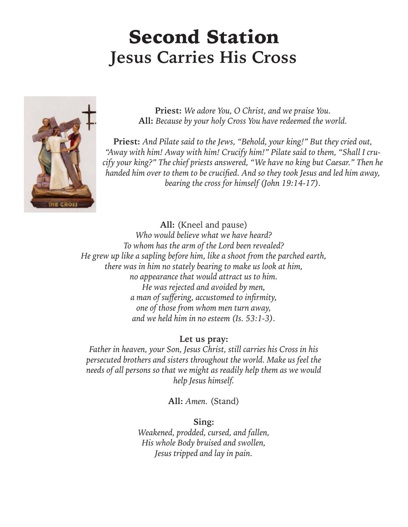### Second Station **Jesus Carries His Cross**



**Priest:** *We adore You, O Christ, and we praise You.* **All:** *Because by your holy Cross You have redeemed the world.*

**Priest:** *And Pilate said to the Jews, "Behold, your king!" But they cried out, "Away with him! Away with him! Crucify him!" Pilate said to them, "Shall I crucify your king?" The chief priests answered, "We have no king but Caesar." Then he handed him over to them to be crucified. And so they took Jesus and led him away, bearing the cross for himself (John 19:14-17).*

**All:** (Kneel and pause) *Who would believe what we have heard? To whom has the arm of the Lord been revealed? He grew up like a sapling before him, like a shoot from the parched earth, there was in him no stately bearing to make us look at him, no appearance that would attract us to him. He was rejected and avoided by men, a man of suffering, accustomed to infirmity, one of those from whom men turn away, and we held him in no esteem (Is. 53:1-3).*

**Let us pray:**

*Father in heaven, your Son, Jesus Christ, still carries his Cross in his persecuted brothers and sisters throughout the world. Make us feel the needs of all persons so that we might as readily help them as we would help Jesus himself.*

**All:** *Amen.* (Stand)

**Sing:** *Weakened, prodded, cursed, and fallen, His whole Body bruised and swollen, Jesus tripped and lay in pain.*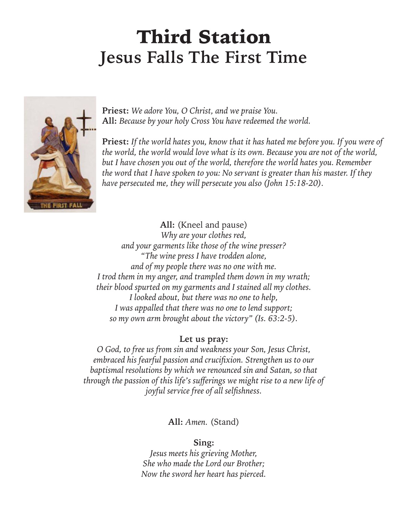### Third Station **Jesus Falls The First Time**



**Priest:** *We adore You, O Christ, and we praise You.* **All:** *Because by your holy Cross You have redeemed the world.*

**Priest:** *If the world hates you, know that it has hated me before you. If you were of the world, the world would love what is its own. Because you are not of the world, but I have chosen you out of the world, therefore the world hates you. Remember the word that I have spoken to you: No servant is greater than his master. If they have persecuted me, they will persecute you also (John 15:18-20).*

**All:** (Kneel and pause) *Why are your clothes red, and your garments like those of the wine presser? "The wine press I have trodden alone, and of my people there was no one with me. I trod them in my anger, and trampled them down in my wrath; their blood spurted on my garments and I stained all my clothes. I looked about, but there was no one to help, I was appalled that there was no one to lend support; so my own arm brought about the victory" (Is. 63:2-5).*

#### **Let us pray:**

*O God, to free us from sin and weakness your Son, Jesus Christ, embraced his fearful passion and crucifixion. Strengthen us to our baptismal resolutions by which we renounced sin and Satan, so that through the passion of this life's sufferings we might rise to a new life of joyful service free of all selfishness.*

**All:** *Amen.* (Stand)

**Sing:**

*Jesus meets his grieving Mother, She who made the Lord our Brother; Now the sword her heart has pierced.*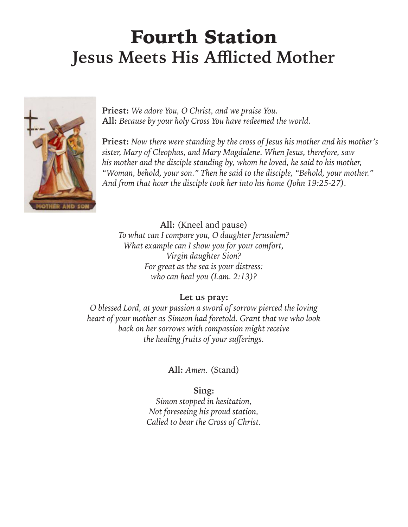### Fourth Station **Jesus Meets His Afflicted Mother**



**Priest:** *We adore You, O Christ, and we praise You.* **All:** *Because by your holy Cross You have redeemed the world.*

**Priest:** *Now there were standing by the cross of Jesus his mother and his mother's sister, Mary of Cleophas, and Mary Magdalene. When Jesus, therefore, saw his mother and the disciple standing by, whom he loved, he said to his mother, "Woman, behold, your son." Then he said to the disciple, "Behold, your mother." And from that hour the disciple took her into his home (John 19:25-27).*

**All:** (Kneel and pause) *To what can I compare you, O daughter Jerusalem? What example can I show you for your comfort, Virgin daughter Sion? For great as the sea is your distress: who can heal you (Lam. 2:13)?*

#### **Let us pray:**

*O blessed Lord, at your passion a sword of sorrow pierced the loving heart of your mother as Simeon had foretold. Grant that we who look back on her sorrows with compassion might receive the healing fruits of your sufferings.*

**All:** *Amen.* (Stand)

**Sing:**

*Simon stopped in hesitation, Not foreseeing his proud station, Called to bear the Cross of Christ.*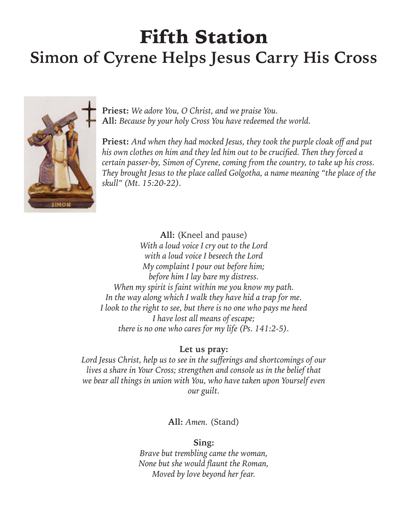### Fifth Station **Simon of Cyrene Helps Jesus Carry His Cross**



**Priest:** *We adore You, O Christ, and we praise You.* **All:** *Because by your holy Cross You have redeemed the world.*

**Priest:** *And when they had mocked Jesus, they took the purple cloak off and put his own clothes on him and they led him out to be crucified. Then they forced a certain passer-by, Simon of Cyrene, coming from the country, to take up his cross. They brought Jesus to the place called Golgotha, a name meaning "the place of the skull" (Mt. 15:20-22).*

**All:** (Kneel and pause) *With a loud voice I cry out to the Lord with a loud voice I beseech the Lord My complaint I pour out before him; before him I lay bare my distress. When my spirit is faint within me you know my path. In the way along which I walk they have hid a trap for me. I look to the right to see, but there is no one who pays me heed I have lost all means of escape; there is no one who cares for my life (Ps. 141:2-5).*

#### **Let us pray:**

*Lord Jesus Christ, help us to see in the sufferings and shortcomings of our lives a share in Your Cross; strengthen and console us in the belief that we bear all things in union with You, who have taken upon Yourself even our guilt.*

**All:** *Amen.* (Stand)

#### **Sing:**

*Brave but trembling came the woman, None but she would flaunt the Roman, Moved by love beyond her fear.*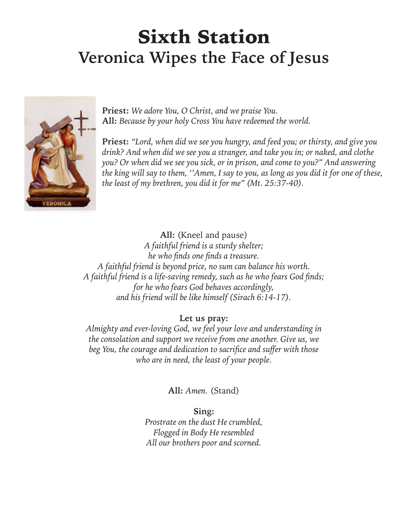### Sixth Station **Veronica Wipes the Face of Jesus**



**Priest:** *We adore You, O Christ, and we praise You.* **All:** *Because by your holy Cross You have redeemed the world.*

**Priest:** *"Lord, when did we see you hungry, and feed you; or thirsty, and give you drink? And when did we see you a stranger, and take you in; or naked, and clothe you? Or when did we see you sick, or in prison, and come to you?" And answering the king will say to them, ''Amen, I say to you, as long as you did it for one of these, the least of my brethren, you did it for me" (Mt. 25:37-40).*

**All:** (Kneel and pause)

*A faithful friend is a sturdy shelter; he who finds one finds a treasure. A faithful friend is beyond price, no sum can balance his worth. A faithful friend is a life-saving remedy, such as he who fears God finds; for he who fears God behaves accordingly, and his friend will be like himself (Sirach 6:14-17).*

#### **Let us pray:**

*Almighty and ever-loving God, we feel your love and understanding in the consolation and support we receive from one another. Give us, we beg You, the courage and dedication to sacrifice and suffer with those who are in need, the least of your people.*

#### **All:** *Amen.* (Stand)

**Sing:** *Prostrate on the dust He crumbled, Flogged in Body He resembled All our brothers poor and scorned.*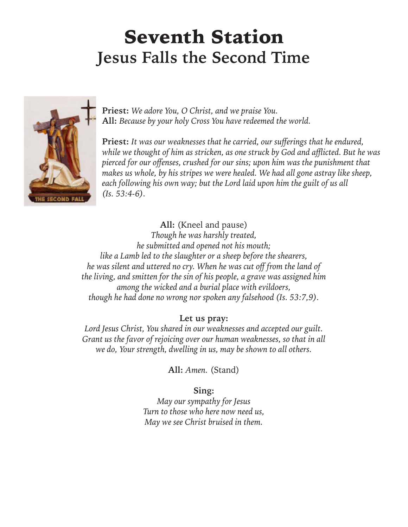### Seventh Station **Jesus Falls the Second Time**



**Priest:** *We adore You, O Christ, and we praise You.* **All:** *Because by your holy Cross You have redeemed the world.*

**Priest:** *It was our weaknesses that he carried, our sufferings that he endured, while we thought of him as stricken, as one struck by God and afflicted. But he was pierced for our offenses, crushed for our sins; upon him was the punishment that makes us whole, by his stripes we were healed. We had all gone astray like sheep, each following his own way; but the Lord laid upon him the guilt of us all (Is. 53:4-6).*

**All:** (Kneel and pause) *Though he was harshly treated, he submitted and opened not his mouth; like a Lamb led to the slaughter or a sheep before the shearers, he was silent and uttered no cry. When he was cut off from the land of the living, and smitten for the sin of his people, a grave was assigned him among the wicked and a burial place with evildoers, though he had done no wrong nor spoken any falsehood (Is. 53:7,9).*

#### **Let us pray:**

*Lord Jesus Christ, You shared in our weaknesses and accepted our guilt. Grant us the favor of rejoicing over our human weaknesses, so that in all we do, Your strength, dwelling in us, may be shown to all others.*

**All:** *Amen.* (Stand)

#### **Sing:**

*May our sympathy for Jesus Turn to those who here now need us, May we see Christ bruised in them.*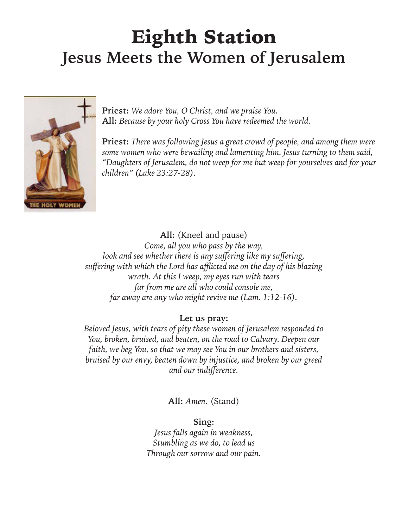### Eighth Station **Jesus Meets the Women of Jerusalem**



**Priest:** *We adore You, O Christ, and we praise You.* **All:** *Because by your holy Cross You have redeemed the world.*

**Priest:** *There was following Jesus a great crowd of people, and among them were some women who were bewailing and lamenting him. Jesus turning to them said, "Daughters of Jerusalem, do not weep for me but weep for yourselves and for your children" (Luke 23:27-28).*

**All:** (Kneel and pause)

*Come, all you who pass by the way, look and see whether there is any suffering like my suffering, suffering with which the Lord has afflicted me on the day of his blazing wrath. At this I weep, my eyes run with tears far from me are all who could console me, far away are any who might revive me (Lam. 1:12-16).*

#### **Let us pray:**

*Beloved Jesus, with tears of pity these women of Jerusalem responded to You, broken, bruised, and beaten, on the road to Calvary. Deepen our faith, we beg You, so that we may see You in our brothers and sisters, bruised by our envy, beaten down by injustice, and broken by our greed and our indifference.*

**All:** *Amen.* (Stand)

**Sing:**

*Jesus falls again in weakness, Stumbling as we do, to lead us Through our sorrow and our pain.*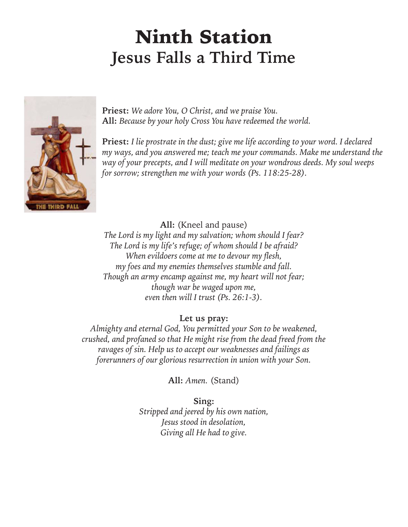### Ninth Station **Jesus Falls a Third Time**



**Priest:** *We adore You, O Christ, and we praise You.* **All:** *Because by your holy Cross You have redeemed the world.*

**Priest:** *I lie prostrate in the dust; give me life according to your word. I declared my ways, and you answered me; teach me your commands. Make me understand the way of your precepts, and I will meditate on your wondrous deeds. My soul weeps for sorrow; strengthen me with your words (Ps. 118:25-28).*

**All:** (Kneel and pause) *The Lord is my light and my salvation; whom should I fear? The Lord is my life's refuge; of whom should I be afraid? When evildoers come at me to devour my flesh, my foes and my enemies themselves stumble and fall. Though an army encamp against me, my heart will not fear; though war be waged upon me, even then will I trust (Ps. 26:1-3).*

#### **Let us pray:**

*Almighty and eternal God, You permitted your Son to be weakened, crushed, and profaned so that He might rise from the dead freed from the ravages of sin. Help us to accept our weaknesses and failings as forerunners of our glorious resurrection in union with your Son.*

**All:** *Amen.* (Stand)

**Sing:** *Stripped and jeered by his own nation, Jesus stood in desolation, Giving all He had to give.*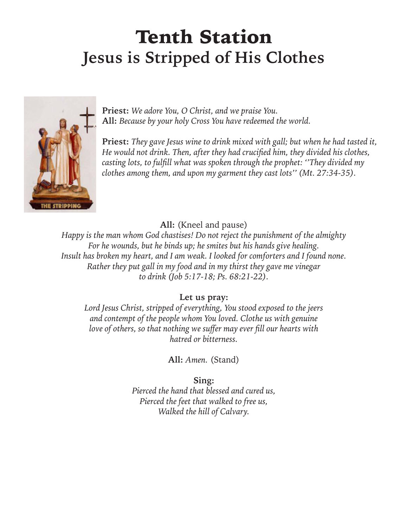### Tenth Station **Jesus is Stripped of His Clothes**



**Priest:** *We adore You, O Christ, and we praise You.* **All:** *Because by your holy Cross You have redeemed the world.*

**Priest:** *They gave Jesus wine to drink mixed with gall; but when he had tasted it, He would not drink. Then, after they had crucified him, they divided his clothes, casting lots, to fulfill what was spoken through the prophet: ''They divided my clothes among them, and upon my garment they cast lots'' (Mt. 27:34-35).*

**All:** (Kneel and pause)

*Happy is the man whom God chastises! Do not reject the punishment of the almighty For he wounds, but he binds up; he smites but his hands give healing. Insult has broken my heart, and I am weak. I looked for comforters and I found none. Rather they put gall in my food and in my thirst they gave me vinegar to drink (Job 5:17-18; Ps. 68:21-22).*

**Let us pray:**

*Lord Jesus Christ, stripped of everything, You stood exposed to the jeers and contempt of the people whom You loved. Clothe us with genuine love of others, so that nothing we suffer may ever fill our hearts with hatred or bitterness.*

**All:** *Amen.* (Stand)

**Sing:** *Pierced the hand that blessed and cured us, Pierced the feet that walked to free us, Walked the hill of Calvary.*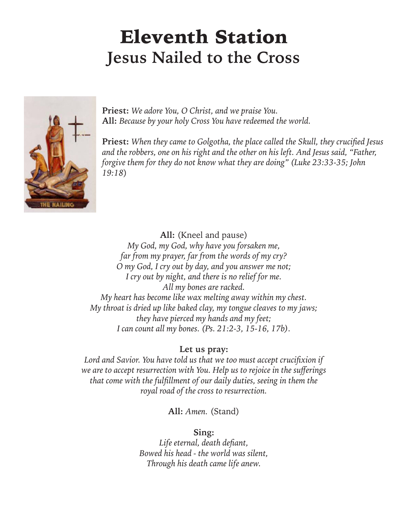### Eleventh Station **Jesus Nailed to the Cross**



**Priest:** *We adore You, O Christ, and we praise You.* **All:** *Because by your holy Cross You have redeemed the world.*

**Priest:** *When they came to Golgotha, the place called the Skull, they crucified Jesus and the robbers, one on his right and the other on his left. And Jesus said, "Father, forgive them for they do not know what they are doing" (Luke 23:33-35; John 19:18*)

**All:** (Kneel and pause)

*My God, my God, why have you forsaken me, far from my prayer, far from the words of my cry? O my God, I cry out by day, and you answer me not; I cry out by night, and there is no relief for me. All my bones are racked. My heart has become like wax melting away within my chest. My throat is dried up like baked clay, my tongue cleaves to my jaws; they have pierced my hands and my feet; I can count all my bones. (Ps. 21:2-3, 15-16, 17b).*

#### **Let us pray:**

*Lord and Savior. You have told us that we too must accept crucifixion if we are to accept resurrection with You. Help us to rejoice in the sufferings that come with the fulfillment of our daily duties, seeing in them the royal road of the cross to resurrection.*

**All:** *Amen.* (Stand)

#### **Sing:**

*Life eternal, death defiant, Bowed his head - the world was silent, Through his death came life anew.*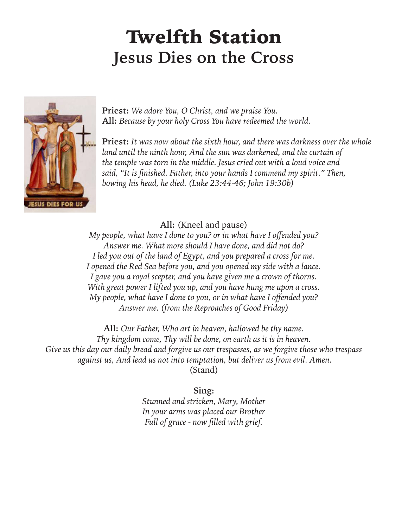### Twelfth Station **Jesus Dies on the Cross**



**Priest:** *We adore You, O Christ, and we praise You.* **All:** *Because by your holy Cross You have redeemed the world.*

**Priest:** *It was now about the sixth hour, and there was darkness over the whole land until the ninth hour, And the sun was darkened, and the curtain of the temple was torn in the middle. Jesus cried out with a loud voice and said, "It is finished. Father, into your hands I commend my spirit." Then, bowing his head, he died. (Luke 23:44-46; John 19:30b)*

**All:** (Kneel and pause)

*My people, what have I done to you? or in what have I offended you? Answer me. What more should I have done, and did not do? I led you out of the land of Egypt, and you prepared a cross for me. I opened the Red Sea before you, and you opened my side with a lance. I gave you a royal scepter, and you have given me a crown of thorns. With great power I lifted you up, and you have hung me upon a cross. My people, what have I done to you, or in what have I offended you? Answer me. (from the Reproaches of Good Friday)*

**All:** *Our Father, Who art in heaven, hallowed be thy name. Thy kingdom come, Thy will be done, on earth as it is in heaven. Give us this day our daily bread and forgive us our trespasses, as we forgive those who trespass against us, And lead us not into temptation, but deliver us from evil. Amen.* (Stand)

#### **Sing:**

*Stunned and stricken, Mary, Mother In your arms was placed our Brother Full of grace - now filled with grief.*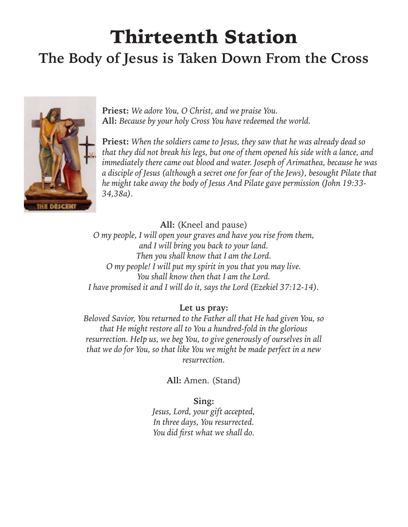## Thirteenth Station

### **The Body of Jesus is Taken Down From the Cross**



**Priest:** *We adore You, O Christ, and we praise You.* **All:** *Because by your holy Cross You have redeemed the world.*

**Priest:** *When the soldiers came to Jesus, they saw that he was already dead so that they did not break his legs, but one of them opened his side with a lance, and immediately there came out blood and water. Joseph of Arimathea, because he was a disciple of Jesus (although a secret one for fear of the Jews), besought Pilate that he might take away the body of Jesus And Pilate gave permission (John 19:33- 34,38a).*

**All:** (Kneel and pause)

*O my people, I will open your graves and have you rise from them, and I will bring you back to your land. Then you shall know that I am the Lord. O my people! I will put my spirit in you that you may live. You shall know then that I am the Lord. I have promised it and I will do it, says the Lord (Ezekiel 37:12-14).*

**Let us pray:**

*Beloved Savior, You returned to the Father all that He had given You, so that He might restore all to You a hundred-fold in the glorious resurrection. HeIp us, we beg You, to give generously of ourselves in all that we do for You, so that like You we might be made perfect in a new resurrection.*

**All:** Amen. (Stand)

**Sing:**

*Jesus, Lord, your gift accepted, In three days, You resurrected. You did first what we shall do.*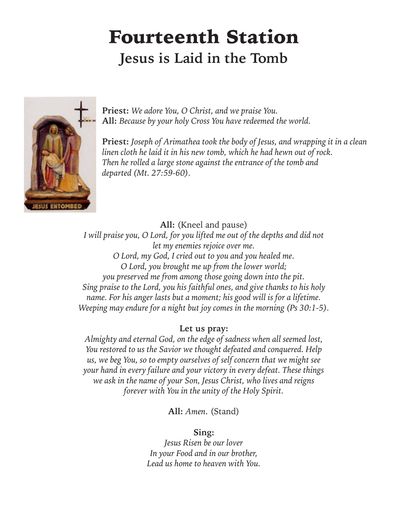### Fourteenth Station **Jesus is Laid in the Tomb**



**Priest:** *We adore You, O Christ, and we praise You.* **All:** *Because by your holy Cross You have redeemed the world.*

**Priest:** *Joseph of Arimathea took the body of Jesus, and wrapping it in a clean linen cloth he laid it in his new tomb, which he had hewn out of rock. Then he rolled a large stone against the entrance of the tomb and departed (Mt. 27:59-60).*

**All:** (Kneel and pause)

*I will praise you, O Lord, for you lifted me out of the depths and did not let my enemies rejoice over me. O Lord, my God, I cried out to you and you healed me. O Lord, you brought me up from the lower world; you preserved me from among those going down into the pit. Sing praise to the Lord, you his faithful ones, and give thanks to his holy name. For his anger lasts but a moment; his good will is for a lifetime. Weeping may endure for a night but joy comes in the morning (Ps 30:1-5).*

#### **Let us pray:**

*Almighty and eternal God, on the edge of sadness when all seemed lost, You restored to us the Savior we thought defeated and conquered. Help us, we beg You, so to empty ourselves of self concern that we might see your hand in every failure and your victory in every defeat. These things we ask in the name of your Son, Jesus Christ, who lives and reigns forever with You in the unity of the Holy Spirit.*

**All:** *Amen*. (Stand)

#### **Sing:**

*Jesus Risen be our lover In your Food and in our brother, Lead us home to heaven with You.*